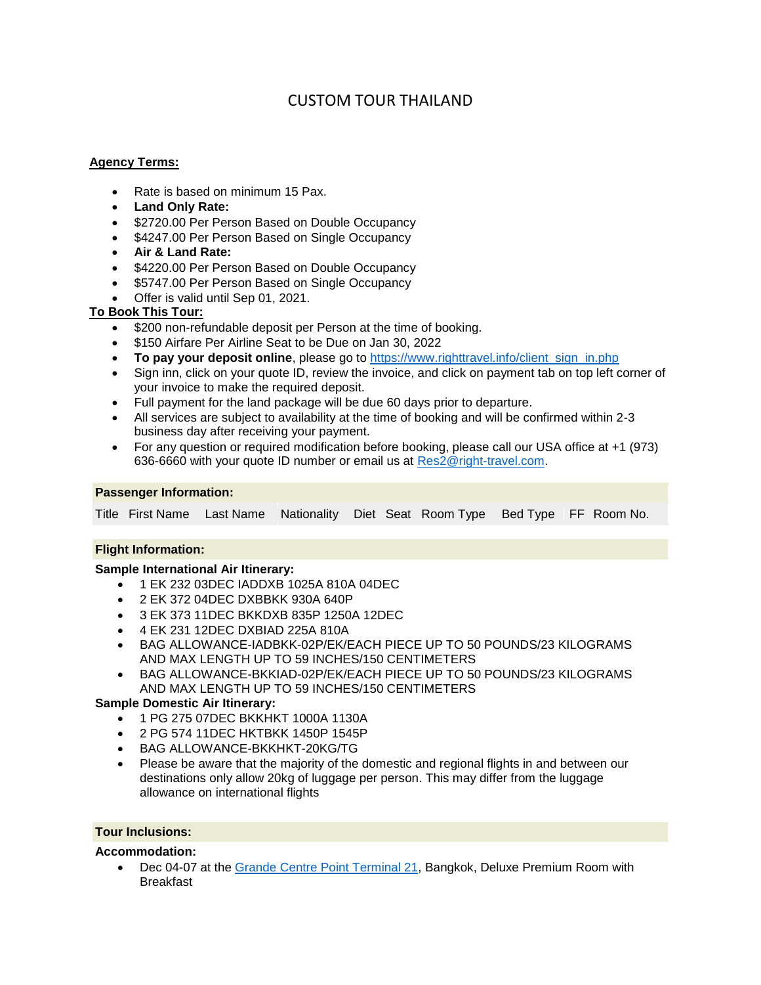# CUSTOM TOUR THAILAND

#### **Agency Terms:**

- Rate is based on minimum 15 Pax.
- **Land Only Rate:**
- \$2720.00 Per Person Based on Double Occupancy
- \$4247.00 Per Person Based on Single Occupancy
- **Air & Land Rate:**
- \$4220.00 Per Person Based on Double Occupancy
- \$5747.00 Per Person Based on Single Occupancy
- Offer is valid until Sep 01, 2021.

#### **To Book This Tour:**

- \$200 non-refundable deposit per Person at the time of booking.
- **\$150 Airfare Per Airline Seat to be Due on Jan 30, 2022**
- **To pay your deposit online**, please go to https://www.righttravel.info/client sign in.php
- Sign inn, click on your quote ID, review the invoice, and click on payment tab on top left corner of your invoice to make the required deposit.
- Full payment for the land package will be due 60 days prior to departure.
- All services are subject to availability at the time of booking and will be confirmed within 2-3 business day after receiving your payment.
- For any question or required modification before booking, please call our USA office at +1 (973) 636-6660 with your quote ID number or email us at [Res2@right-travel.com.](mailto:Res2@right-travel.com)

#### **Passenger Information:**

Title First Name Last Name Nationality Diet Seat Room Type Bed Type FF Room No.

#### **Flight Information:**

#### **Sample International Air Itinerary:**

- 1 EK 232 03DEC IADDXB 1025A 810A 04DEC
- 2 EK 372 04DEC DXBBKK 930A 640P
- 3 EK 373 11DEC BKKDXB 835P 1250A 12DEC
- 4 EK 231 12DEC DXBIAD 225A 810A
- BAG ALLOWANCE-IADBKK-02P/EK/EACH PIECE UP TO 50 POUNDS/23 KILOGRAMS AND MAX LENGTH UP TO 59 INCHES/150 CENTIMETERS
- BAG ALLOWANCE-BKKIAD-02P/EK/EACH PIECE UP TO 50 POUNDS/23 KILOGRAMS AND MAX LENGTH UP TO 59 INCHES/150 CENTIMETERS

#### **Sample Domestic Air Itinerary:**

- 1 PG 275 07DEC BKKHKT 1000A 1130A
- 2 PG 574 11DEC HKTBKK 1450P 1545P
- BAG ALLOWANCE-BKKHKT-20KG/TG
- Please be aware that the majority of the domestic and regional flights in and between our destinations only allow 20kg of luggage per person. This may differ from the luggage allowance on international flights

#### **Tour Inclusions:**

#### **Accommodation:**

 Dec 04-07 at the [Grande Centre Point Terminal 21,](https://www.grandecentrepointterminal21.com/) Bangkok, Deluxe Premium Room with Breakfast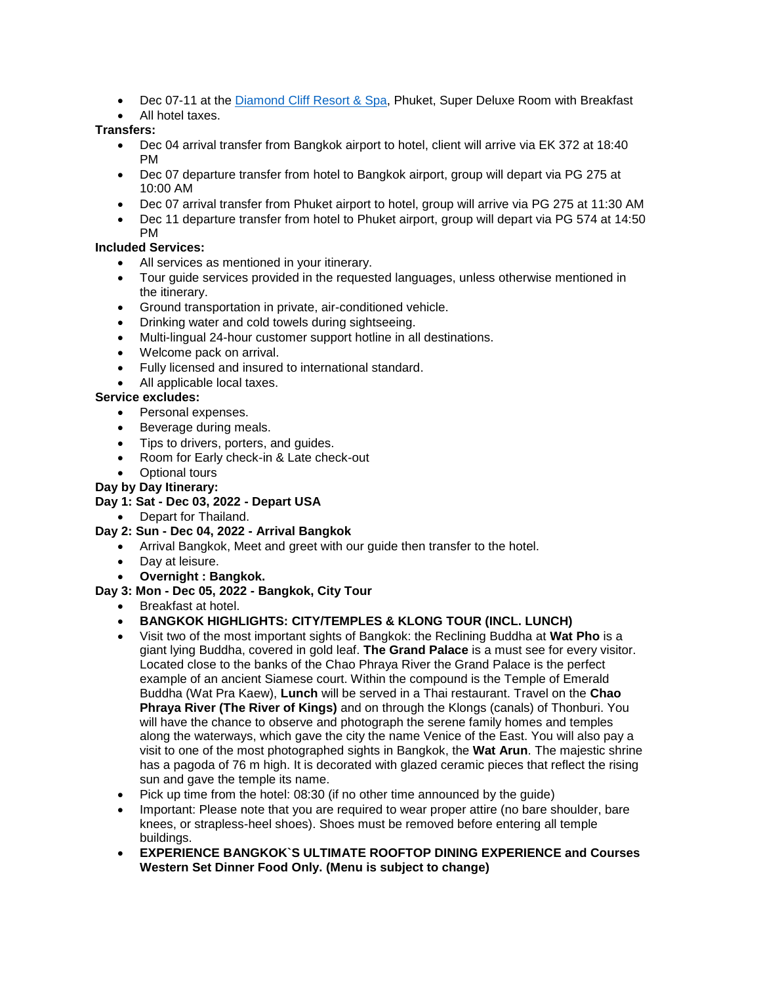- Dec 07-11 at the [Diamond Cliff Resort & Spa,](https://www.diamondcliff.com/) Phuket, Super Deluxe Room with Breakfast
- All hotel taxes.

### **Transfers:**

- Dec 04 arrival transfer from Bangkok airport to hotel, client will arrive via EK 372 at 18:40 PM
- Dec 07 departure transfer from hotel to Bangkok airport, group will depart via PG 275 at 10:00 AM
- Dec 07 arrival transfer from Phuket airport to hotel, group will arrive via PG 275 at 11:30 AM
- Dec 11 departure transfer from hotel to Phuket airport, group will depart via PG 574 at 14:50 PM

### **Included Services:**

- All services as mentioned in your itinerary.
- Tour guide services provided in the requested languages, unless otherwise mentioned in the itinerary.
- Ground transportation in private, air-conditioned vehicle.
- Drinking water and cold towels during sightseeing.
- Multi-lingual 24-hour customer support hotline in all destinations.
- Welcome pack on arrival.
- Fully licensed and insured to international standard.
- All applicable local taxes.

# **Service excludes:**

- Personal expenses.
- Beverage during meals.
- Tips to drivers, porters, and quides.
- Room for Early check-in & Late check-out
- Optional tours

### **Day by Day Itinerary:**

# **Day 1: Sat - Dec 03, 2022 - Depart USA**

• Depart for Thailand.

# **Day 2: Sun - Dec 04, 2022 - Arrival Bangkok**

- Arrival Bangkok, Meet and greet with our guide then transfer to the hotel.
- Day at leisure.

# **Overnight : Bangkok.**

# **Day 3: Mon - Dec 05, 2022 - Bangkok, City Tour**

Breakfast at hotel.

# **BANGKOK HIGHLIGHTS: CITY/TEMPLES & KLONG TOUR (INCL. LUNCH)**

- Visit two of the most important sights of Bangkok: the Reclining Buddha at **Wat Pho** is a giant lying Buddha, covered in gold leaf. **The Grand Palace** is a must see for every visitor. Located close to the banks of the Chao Phraya River the Grand Palace is the perfect example of an ancient Siamese court. Within the compound is the Temple of Emerald Buddha (Wat Pra Kaew), **Lunch** will be served in a Thai restaurant. Travel on the **Chao Phraya River (The River of Kings)** and on through the Klongs (canals) of Thonburi. You will have the chance to observe and photograph the serene family homes and temples along the waterways, which gave the city the name Venice of the East. You will also pay a visit to one of the most photographed sights in Bangkok, the **Wat Arun**. The majestic shrine has a pagoda of 76 m high. It is decorated with glazed ceramic pieces that reflect the rising sun and gave the temple its name.
- Pick up time from the hotel: 08:30 (if no other time announced by the guide)
- Important: Please note that you are required to wear proper attire (no bare shoulder, bare knees, or strapless-heel shoes). Shoes must be removed before entering all temple buildings.
- **EXPERIENCE BANGKOK`S ULTIMATE ROOFTOP DINING EXPERIENCE and Courses Western Set Dinner Food Only. (Menu is subject to change)**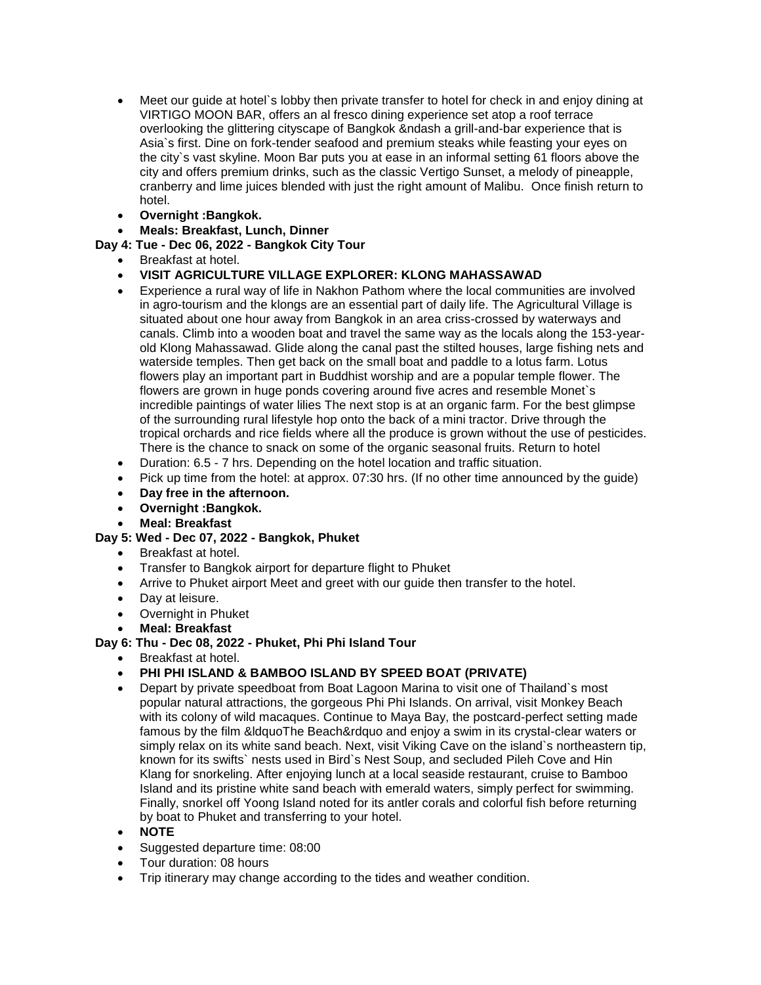- Meet our guide at hotel`s lobby then private transfer to hotel for check in and enjoy dining at VIRTIGO MOON BAR, offers an al fresco dining experience set atop a roof terrace overlooking the glittering cityscape of Bangkok &ndash a grill-and-bar experience that is Asia`s first. Dine on fork-tender seafood and premium steaks while feasting your eyes on the city`s vast skyline. Moon Bar puts you at ease in an informal setting 61 floors above the city and offers premium drinks, such as the classic Vertigo Sunset, a melody of pineapple, cranberry and lime juices blended with just the right amount of Malibu. Once finish return to hotel.
- **Overnight :Bangkok.**

### **Meals: Breakfast, Lunch, Dinner**

### **Day 4: Tue - Dec 06, 2022 - Bangkok City Tour**

- Breakfast at hotel.
- **VISIT AGRICULTURE VILLAGE EXPLORER: KLONG MAHASSAWAD**
- Experience a rural way of life in Nakhon Pathom where the local communities are involved in agro-tourism and the klongs are an essential part of daily life. The Agricultural Village is situated about one hour away from Bangkok in an area criss-crossed by waterways and canals. Climb into a wooden boat and travel the same way as the locals along the 153-yearold Klong Mahassawad. Glide along the canal past the stilted houses, large fishing nets and waterside temples. Then get back on the small boat and paddle to a lotus farm. Lotus flowers play an important part in Buddhist worship and are a popular temple flower. The flowers are grown in huge ponds covering around five acres and resemble Monet`s incredible paintings of water lilies The next stop is at an organic farm. For the best glimpse of the surrounding rural lifestyle hop onto the back of a mini tractor. Drive through the tropical orchards and rice fields where all the produce is grown without the use of pesticides. There is the chance to snack on some of the organic seasonal fruits. Return to hotel
- Duration: 6.5 7 hrs. Depending on the hotel location and traffic situation.
- Pick up time from the hotel: at approx. 07:30 hrs. (If no other time announced by the guide)
- **Day free in the afternoon.**
- **Overnight :Bangkok.**
- **Meal: Breakfast**

# **Day 5: Wed - Dec 07, 2022 - Bangkok, Phuket**

- Breakfast at hotel.
- Transfer to Bangkok airport for departure flight to Phuket
- Arrive to Phuket airport Meet and greet with our guide then transfer to the hotel.
- Day at leisure.
- Overnight in Phuket
- **Meal: Breakfast**

# **Day 6: Thu - Dec 08, 2022 - Phuket, Phi Phi Island Tour**

- Breakfast at hotel.
- **PHI PHI ISLAND & BAMBOO ISLAND BY SPEED BOAT (PRIVATE)**
- Depart by private speedboat from Boat Lagoon Marina to visit one of Thailand`s most popular natural attractions, the gorgeous Phi Phi Islands. On arrival, visit Monkey Beach with its colony of wild macaques. Continue to Maya Bay, the postcard-perfect setting made famous by the film &ldquoThe Beach&rdquo and enjoy a swim in its crystal-clear waters or simply relax on its white sand beach. Next, visit Viking Cave on the island`s northeastern tip, known for its swifts` nests used in Bird`s Nest Soup, and secluded Pileh Cove and Hin Klang for snorkeling. After enjoying lunch at a local seaside restaurant, cruise to Bamboo Island and its pristine white sand beach with emerald waters, simply perfect for swimming. Finally, snorkel off Yoong Island noted for its antler corals and colorful fish before returning by boat to Phuket and transferring to your hotel.
- **NOTE**
- Suggested departure time: 08:00
- Tour duration: 08 hours
- Trip itinerary may change according to the tides and weather condition.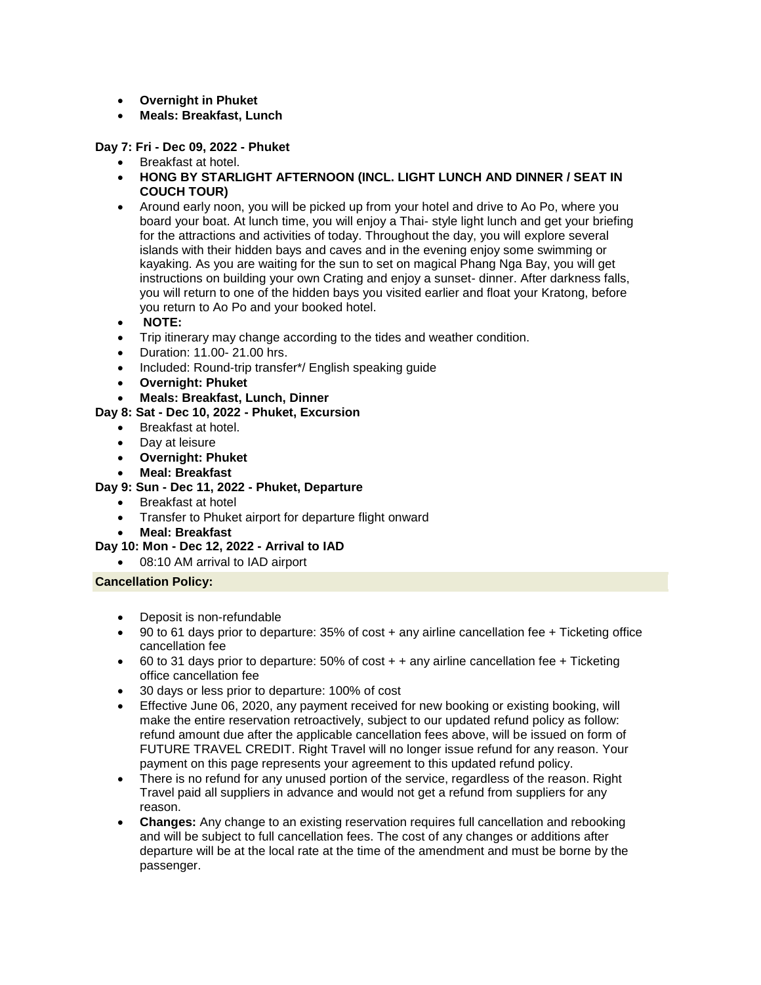- **Overnight in Phuket**
- **Meals: Breakfast, Lunch**

**Day 7: Fri - Dec 09, 2022 - Phuket**

- Breakfast at hotel.
- **HONG BY STARLIGHT AFTERNOON (INCL. LIGHT LUNCH AND DINNER / SEAT IN COUCH TOUR)**
- Around early noon, you will be picked up from your hotel and drive to Ao Po, where you board your boat. At lunch time, you will enjoy a Thai- style light lunch and get your briefing for the attractions and activities of today. Throughout the day, you will explore several islands with their hidden bays and caves and in the evening enjoy some swimming or kayaking. As you are waiting for the sun to set on magical Phang Nga Bay, you will get instructions on building your own Crating and enjoy a sunset- dinner. After darkness falls, you will return to one of the hidden bays you visited earlier and float your Kratong, before you return to Ao Po and your booked hotel.
- **NOTE:**
- Trip itinerary may change according to the tides and weather condition.
- Duration: 11.00- 21.00 hrs.
- Included: Round-trip transfer\*/ English speaking guide
- **Overnight: Phuket**
- **Meals: Breakfast, Lunch, Dinner**

# **Day 8: Sat - Dec 10, 2022 - Phuket, Excursion**

- Breakfast at hotel.
- Day at leisure
- **Overnight: Phuket**
- **Meal: Breakfast**

#### **Day 9: Sun - Dec 11, 2022 - Phuket, Departure**

- Breakfast at hotel
- Transfer to Phuket airport for departure flight onward
- **Meal: Breakfast**

#### **Day 10: Mon - Dec 12, 2022 - Arrival to IAD**

08:10 AM arrival to IAD airport

#### **Cancellation Policy:**

- Deposit is non-refundable
- 90 to 61 days prior to departure: 35% of cost + any airline cancellation fee + Ticketing office cancellation fee
- $\bullet$  60 to 31 days prior to departure: 50% of cost  $+$  + any airline cancellation fee + Ticketing office cancellation fee
- 30 days or less prior to departure: 100% of cost
- Effective June 06, 2020, any payment received for new booking or existing booking, will make the entire reservation retroactively, subject to our updated refund policy as follow: refund amount due after the applicable cancellation fees above, will be issued on form of FUTURE TRAVEL CREDIT. Right Travel will no longer issue refund for any reason. Your payment on this page represents your agreement to this updated refund policy.
- There is no refund for any unused portion of the service, regardless of the reason. Right Travel paid all suppliers in advance and would not get a refund from suppliers for any reason.
- **Changes:** Any change to an existing reservation requires full cancellation and rebooking and will be subject to full cancellation fees. The cost of any changes or additions after departure will be at the local rate at the time of the amendment and must be borne by the passenger.